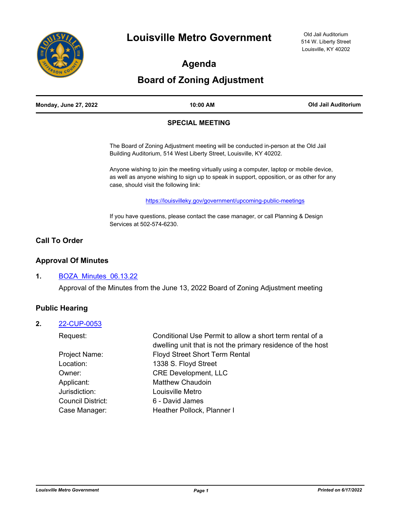

**Agenda**

# **Board of Zoning Adjustment**

| <b>Monday, June 27, 2022</b> | 10:00 AM | Old Jail Auditorium |
|------------------------------|----------|---------------------|
|                              |          |                     |

#### **SPECIAL MEETING**

The Board of Zoning Adjustment meeting will be conducted in-person at the Old Jail Building Auditorium, 514 West Liberty Street, Louisville, KY 40202.

Anyone wishing to join the meeting virtually using a computer, laptop or mobile device, as well as anyone wishing to sign up to speak in support, opposition, or as other for any case, should visit the following link:

<https://louisvilleky.gov/government/upcoming-public-meetings>

If you have questions, please contact the case manager, or call Planning & Design Services at 502-574-6230.

## **Call To Order**

## **Approval Of Minutes**

### **1.** [BOZA\\_Minutes\\_06.13.22](http://louisville.legistar.com/gateway.aspx?m=l&id=/matter.aspx?key=60809)

Approval of the Minutes from the June 13, 2022 Board of Zoning Adjustment meeting

## **Public Hearing**

#### **2.** [22-CUP-0053](http://louisville.legistar.com/gateway.aspx?m=l&id=/matter.aspx?key=60054)

| Conditional Use Permit to allow a short term rental of a<br>dwelling unit that is not the primary residence of the host |
|-------------------------------------------------------------------------------------------------------------------------|
| <b>Floyd Street Short Term Rental</b>                                                                                   |
| 1338 S. Floyd Street                                                                                                    |
| <b>CRE Development, LLC</b>                                                                                             |
| <b>Matthew Chaudoin</b>                                                                                                 |
| Louisville Metro                                                                                                        |
| 6 - David James                                                                                                         |
| Heather Pollock, Planner I                                                                                              |
|                                                                                                                         |